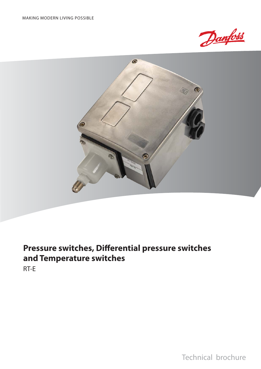Danfoss



# **Pressure switches, Differential pressure switches and Temperature switches**  RT-E

Technical brochure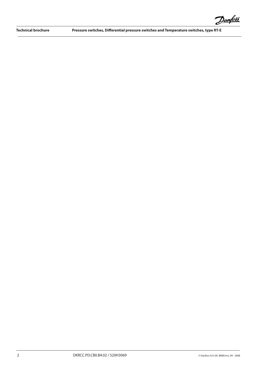Danfoss

Technical brochure **Pressure switches, Differential pressure switches and Temperature switches, type RT-E**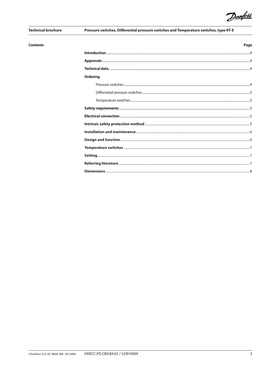Danfoss

# **Technical brochure**

Pressure switches, Differential pressure switches and Temperature switches, type RT-E

# **Contents**

|                 | Page |
|-----------------|------|
|                 |      |
|                 |      |
|                 |      |
| <b>Ordering</b> |      |
|                 |      |
|                 |      |
|                 |      |
|                 |      |
|                 |      |
|                 |      |
|                 |      |
|                 |      |
|                 |      |
|                 |      |
|                 |      |
|                 |      |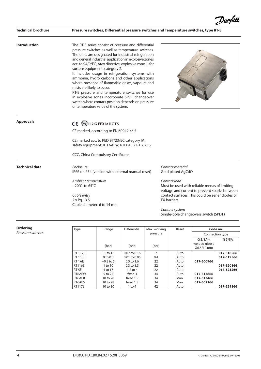Danfoss

| <b>Technical brochure</b> | Pressure switches, Differential pressure switches and Temperature switches, type RT-E                                                                                                                                                                                                                                                                                                                                                                                                                                                                                                                                                                                                                        |                                                                                                               |  |  |  |  |
|---------------------------|--------------------------------------------------------------------------------------------------------------------------------------------------------------------------------------------------------------------------------------------------------------------------------------------------------------------------------------------------------------------------------------------------------------------------------------------------------------------------------------------------------------------------------------------------------------------------------------------------------------------------------------------------------------------------------------------------------------|---------------------------------------------------------------------------------------------------------------|--|--|--|--|
| <b>Introduction</b>       | The RT-E series consist of pressure and differential<br>pressure switches as well as temperature switches.<br>The units are designated for industrial refrigeration<br>and general industrial application in explosive zones<br>acc. to 94/9/EC, Atex directive, explosive zone 1, for<br>surface equipment, category 2.<br>It includes usage in refrigeration systems with<br>ammonia, hydro carbons and other applications<br>where presence of flammable gases, vapours and<br>mists are likely to occur.<br>RT-E pressure and temperature switches for use<br>in explosive zones incorporate SPDT changeover<br>switch where contact position depends on pressure<br>or temperature value of the system. |                                                                                                               |  |  |  |  |
| <b>Approvals</b>          | $C \in \langle \overline{\xi} x \rangle$ II 2 G EEX ia IIC T5                                                                                                                                                                                                                                                                                                                                                                                                                                                                                                                                                                                                                                                |                                                                                                               |  |  |  |  |
|                           | CE marked, according to EN 60947-4/-5                                                                                                                                                                                                                                                                                                                                                                                                                                                                                                                                                                                                                                                                        |                                                                                                               |  |  |  |  |
|                           | CE marked acc. to PED 97/23/EC category IV,<br>safety equipment: RTE6AEW, RTE6AEB, RTE6AES                                                                                                                                                                                                                                                                                                                                                                                                                                                                                                                                                                                                                   |                                                                                                               |  |  |  |  |
|                           | CCC, China Compulsory Certificate                                                                                                                                                                                                                                                                                                                                                                                                                                                                                                                                                                                                                                                                            |                                                                                                               |  |  |  |  |
| <b>Technical data</b>     | Enclosure<br>IP66 or IP54 (version with external manual reset)                                                                                                                                                                                                                                                                                                                                                                                                                                                                                                                                                                                                                                               | Contact material<br>Gold plated AgCdO                                                                         |  |  |  |  |
|                           | Ambient temperature<br>$-20^{\circ}$ C to 65 $^{\circ}$ C                                                                                                                                                                                                                                                                                                                                                                                                                                                                                                                                                                                                                                                    | Contact load<br>Must be used with reliable menas of limiting<br>voltage and current to prevent sparks between |  |  |  |  |
|                           | Cable entry                                                                                                                                                                                                                                                                                                                                                                                                                                                                                                                                                                                                                                                                                                  | contact surfaces. This could be zener diodes or                                                               |  |  |  |  |
|                           | 2 x Pg 13.5                                                                                                                                                                                                                                                                                                                                                                                                                                                                                                                                                                                                                                                                                                  | EX barriers.                                                                                                  |  |  |  |  |
|                           | Cable diameter: 6 to 14 mm                                                                                                                                                                                                                                                                                                                                                                                                                                                                                                                                                                                                                                                                                   | Contact system                                                                                                |  |  |  |  |
|                           |                                                                                                                                                                                                                                                                                                                                                                                                                                                                                                                                                                                                                                                                                                              | Single-pole changeovers switch (SPDT)                                                                         |  |  |  |  |

## **Ordering**

Pressure switches

| Type               | Range          | Differential     | Max. working | Reset | Code no.        |                    |
|--------------------|----------------|------------------|--------------|-------|-----------------|--------------------|
|                    |                |                  | pressure     |       | Connection type |                    |
|                    |                |                  |              |       | $G$ 3/8A +      | G <sub>3</sub> /8A |
|                    |                |                  |              |       | welded nipple   |                    |
|                    | [bar]          | [bar]            | [bar]        |       | Ø6.5/10 mm      |                    |
| RT 112E            | $0.1$ to $1.1$ | $0.07$ to $0.16$ | 7            | Auto  |                 | 017-518566         |
| <b>RT 113E</b>     | $0$ to $0.3$   | $0.01$ to $0.05$ | 0.4          | Auto  |                 | 017-519566         |
| RT <sub>1</sub> AE | $-0.8$ to 5    | $0.5$ to $1.6$   | 22           | Auto  | 017-500966      |                    |
| <b>RT116E</b>      | 1 to 10        | $0.3$ to 1.3     | 22           | Auto  |                 | 017-520166         |
| RT <sub>5E</sub>   | 4 to 17        | $1.2$ to 4       | 22           | Auto  |                 | 017-525266         |
| RT6AEW             | 5 to 25        | fixed 3          | 34           | Auto  | 017-513866      |                    |
| RT6AEB             | 10 to 28       | fixed 1.5        | 34           | Man.  | 017-513466      |                    |
| RT6AES             | 10 to 28       | fixed 1.5        | 34           | Man.  | 017-502166      |                    |
| <b>RT117E</b>      | 10 to 30       | 1 to 4           | 42           | Auto  |                 | 017-529866         |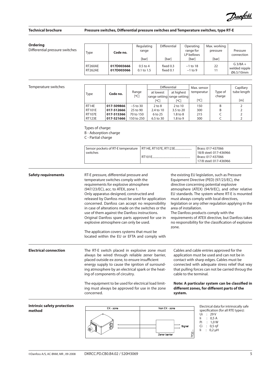<u>Danford</u>

**Order** 

## Technical brochure **Pressure switches, Differential pressure switches and Temperature switches, type RT-E**

| Ordering<br>Differential pressure switches | Type                             | Code no.                 | Regulating<br>range          | Differential             | Operating<br>range for<br>LP bellows | Max. working<br>pressure | Pressure<br>connection                   |
|--------------------------------------------|----------------------------------|--------------------------|------------------------------|--------------------------|--------------------------------------|--------------------------|------------------------------------------|
|                                            |                                  |                          | [bar]                        | [bar]                    | [bar]                                | [bar]                    |                                          |
|                                            | <b>RT260AE</b><br><b>RT262AE</b> | 017D003666<br>017D003066 | $0.5$ to 4<br>$0.1$ to $1.5$ | fixed $0.3$<br>fixed 0.1 | $-1$ to 18<br>$-1$ to 9              | 22<br>11                 | $G$ 3/8A +<br>welded nipple<br>Ø6.5/10mm |

## Temperature switches

|               |            |            | <b>Differential</b><br>Max. sensor |            |            |         | Capillary         |
|---------------|------------|------------|------------------------------------|------------|------------|---------|-------------------|
| <b>Type</b>   | Code no.   | Range      | at lowest                          | at highest | temperatur | Type of | tube length       |
|               |            | [°C]       | range setting range setting        |            |            | charge  |                   |
|               |            |            | [°C]                               | [°C]       | [°C]       |         | $\lceil m \rceil$ |
| RT14E         | 017-509866 | $-5$ to 30 | $2$ to $8$                         | 2 to 10    | 150        | B       |                   |
| <b>RT101E</b> | 017-512666 | 25 to 90   | 2.4 to 10                          | 3.5 to 20  | 300        |         |                   |
| <b>RT107E</b> | 017-515366 | 70 to 150  | 6 to 25                            | 1.8 to 8   | 215        |         |                   |
| <b>RT123E</b> | 017-521666 | 150 to 250 | 6.5 to 30                          | 1.8 to 9   | 300        |         |                   |

Types of charge:

B - Adsorption charge

C - Partial charge

| Sensor pockets of RT-E temperature   RT14E, RT107E, RT123E |               | Brass: 017-437066      |
|------------------------------------------------------------|---------------|------------------------|
| switches                                                   |               | 18/8 steel: 017-436966 |
|                                                            | <b>RT101F</b> | Brass: 017-437066      |
|                                                            |               | 17/8 steel: 017-436966 |

### **Safety requirements** RT-E pressure, differential pressure and temperature switches comply with the requirements for explosive atmosphere (947/23/EC), acc. to ATEX, zone 1. Only apparatus designed, constructed and released by Danfoss must be used for application concerned. Danfoss can accept no responsibility in case of alterations made on the switches or the use of them against the Danfoss instructions. Original Danfoss spare parts approved for use in explosive atmosphere can only be used. The application covers systems that must be located within the EU or EFTA and comply with the existing EU legislation, such as Pressure Equipment Directive (PED) (97/23/EC), the directive concerning potential explosive atmosphere (ATEX) (94/9/EC), and other relative EU standards. The system where RT-E is mounted must always comply with local directives, legislation or any other regulation applying in the area of installation. The Danfoss products comply with the requirements of ATEX directive, but Danfoss takes no responsibility for the classification of explosive zone. The RT-E switch placed in explosive zone must always be wired through reliable zener barrier, placed outside ex-zone, to ensure insufficient energy supply to cause the ignition of surrounding atmosphere by an electrical spark or the heating of components of circuitry. Cables and cable entries approved for the application must be used and can not be in contact with sharp edges. Cables must be connected with adequate stress relief that way that pulling forces can not be carried throug the cable to the terminal. **Electrical connection**

The equipment to be used for electrical load limiting must always be approved for use in the zone concerned.

**Note: A particular system can be classified in** different zones, for different parts of the **system.**

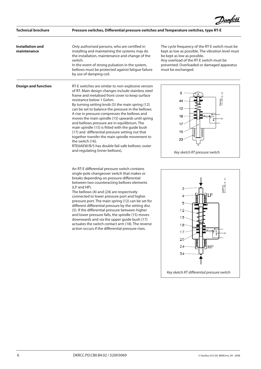Technical brochure **Pressure switches, Differential pressure switches and Temperature switches, type RT-E** 

<u> Danfoss</u>

## **Installation and maintenance** Only authorised persons, who are certified in installing and maintaining the systems may do the installation, maintenance and change of the switch. In the event of strong pulsation in the system,

bellows must be protected against fatigue failure by use of damping coil.

The cycle frequency of the RT-E switch must be kept as low as possible. The vibration level must be kept as low as possible.

Any overload of the RT-E switch must be prevented. Overloaded or damaged apparatus must be exchanged.

# **Design and function** RT-E switches are similar to non-explosive version

of RT. Main design changes include stainless steel frame and metalised front cover to keep surface resistance below 1 Gohm. By turning setting knob (5) the main spring (12) can be set to balance the pressure in the bellows. A rise in pressure compresses the bellows and moves the main spindle (15) upwards until spring and bellows pressure are in equilibrium. The main spindle (15) is fitted with the quide bush  $(17)$  and differential pressure setting nut that together transfer the main spindle movement to the switch (16).

RTE6AEW/B/S has double fail-safe bellows: outer and regulating (inner bellows).



An RT-E differential pressure switch contains single-pole changeover switch that makes or breaks depending on pressure differential between two counteracting bellows elements (LP and HP).

The bellows (4) and (24) are respectively connected to lower pressure port and higher pressure port. The main spring (12) can be set for different differential pressure by the setting disc (5). If the differential pressure between higher and lower pressure falls, the spindle (15) moves downwards and via the upper guide bush (17) actuates the switch contact arm (18). The reverse action occurs if the differential pressure rises.

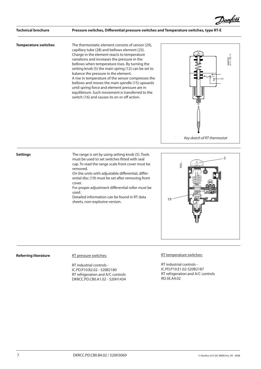<u> Danfoss</u>

5

Technical brochure **Pressure switches, Differential pressure switches and Temperature switches, type RT-E** 

**Temperature switches** The thermostatic element consists of sensor (29), capillary tube (28) and bellows element (23). Charge in the element reacts to temperature variations and increases the pressure in the bellows when temperature rises. By turning the setting knob (5) the main spring (12) can be set to balance the pressure in the element. A rise in temperature of the sensor compresses the bellows and moves the main spindle (15) upwards until spring force and element pressure are in equilibrium. Such movement is transferred to the switch (16) and causes its on or off action.



# $rac{1}{7-375}$ 19

**Settings** The range is set by using setting knob (5). Tools must be used to set switches fitted with seal cap. To read the range scale front cover must be removed.

> On the units with adjustable differential, differential disc (19) must be set after removing front cover.

For proper adjustment differential roller must be used.

Detailed information can be found in RT data sheets, non-explosive version.

## **Referring literature** RT pressure switches:

RT industrial controls - IC.PD.P10.B2.02 - 520B2180 RT refrigeration and A/C controls DKRCC.PD.CB0.A1.02 - 520H1434 RT temperature switches:

RT industrial controls - IC.PD.P10.E1.02-520B2187 RT refrigeration and A/C controls RD.5E.A4.02